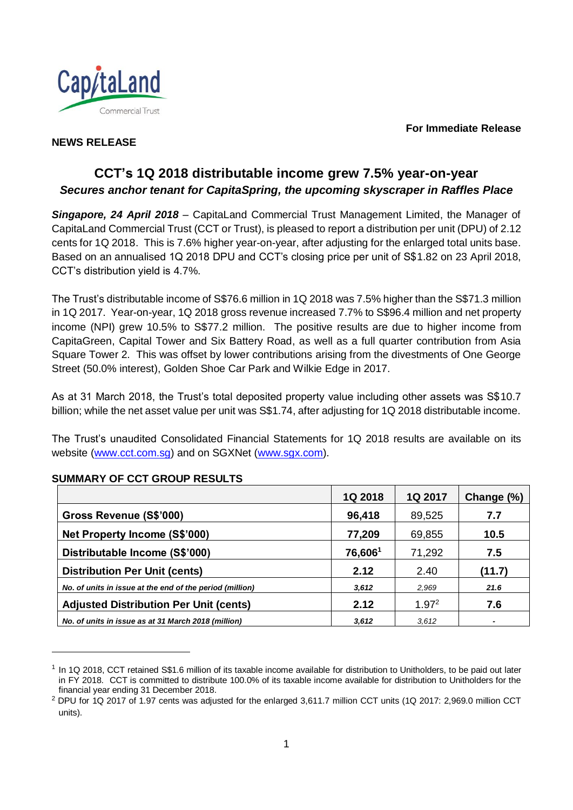**For Immediate Release**



### **NEWS RELEASE**

# **CCT's 1Q 2018 distributable income grew 7.5% year-on-year** *Secures anchor tenant for CapitaSpring, the upcoming skyscraper in Raffles Place*

*Singapore, 24 April 2018* – CapitaLand Commercial Trust Management Limited, the Manager of CapitaLand Commercial Trust (CCT or Trust), is pleased to report a distribution per unit (DPU) of 2.12 cents for 1Q 2018. This is 7.6% higher year-on-year, after adjusting for the enlarged total units base. Based on an annualised 1Q 2018 DPU and CCT's closing price per unit of S\$1.82 on 23 April 2018, CCT's distribution yield is 4.7%.

The Trust's distributable income of S\$76.6 million in 1Q 2018 was 7.5% higher than the S\$71.3 million in 1Q 2017. Year-on-year, 1Q 2018 gross revenue increased 7.7% to S\$96.4 million and net property income (NPI) grew 10.5% to S\$77.2 million. The positive results are due to higher income from CapitaGreen, Capital Tower and Six Battery Road, as well as a full quarter contribution from Asia Square Tower 2. This was offset by lower contributions arising from the divestments of One George Street (50.0% interest), Golden Shoe Car Park and Wilkie Edge in 2017.

As at 31 March 2018, the Trust's total deposited property value including other assets was S\$10.7 billion; while the net asset value per unit was S\$1.74, after adjusting for 1Q 2018 distributable income.

The Trust's unaudited Consolidated Financial Statements for 1Q 2018 results are available on its website [\(www.cct.com.sg\)](http://www.cct.com.sg/) and on SGXNet [\(www.sgx.com\)](http://www.sgx.com/).

|                                                          | 1Q 2018 | 1Q 2017           | Change (%) |
|----------------------------------------------------------|---------|-------------------|------------|
| Gross Revenue (S\$'000)                                  | 96,418  | 89,525            | 7.7        |
| Net Property Income (S\$'000)                            | 77,209  | 69,855            | 10.5       |
| Distributable Income (S\$'000)                           | 76,6061 | 71,292            | 7.5        |
| <b>Distribution Per Unit (cents)</b>                     | 2.12    | 2.40              | (11.7)     |
| No. of units in issue at the end of the period (million) | 3,612   | 2,969             | 21.6       |
| <b>Adjusted Distribution Per Unit (cents)</b>            | 2.12    | 1.97 <sup>2</sup> | 7.6        |
| No. of units in issue as at 31 March 2018 (million)      | 3,612   | 3,612             |            |

## **SUMMARY OF CCT GROUP RESULTS**

l

<sup>1</sup> In 1Q 2018, CCT retained S\$1.6 million of its taxable income available for distribution to Unitholders, to be paid out later in FY 2018. CCT is committed to distribute 100.0% of its taxable income available for distribution to Unitholders for the financial year ending 31 December 2018.

<sup>&</sup>lt;sup>2</sup> DPU for 1Q 2017 of 1.97 cents was adjusted for the enlarged 3,611.7 million CCT units (1Q 2017: 2,969.0 million CCT units).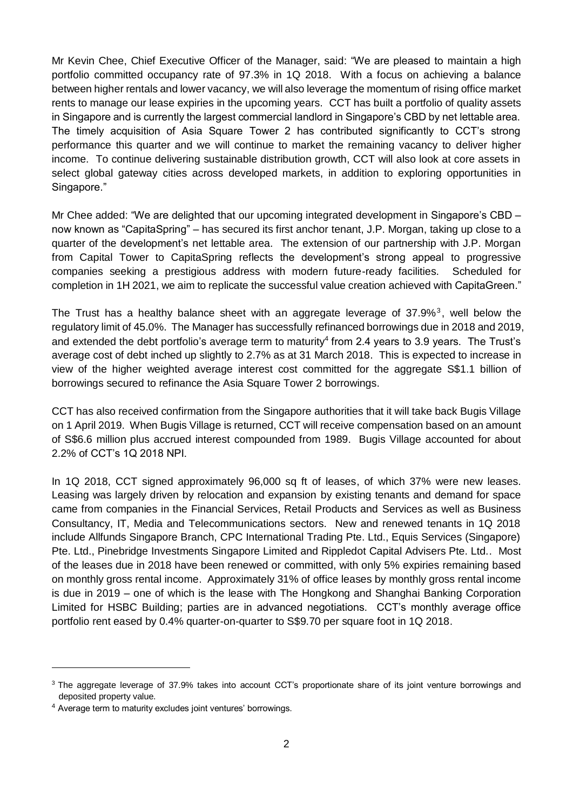Mr Kevin Chee, Chief Executive Officer of the Manager, said: "We are pleased to maintain a high portfolio committed occupancy rate of 97.3% in 1Q 2018. With a focus on achieving a balance between higher rentals and lower vacancy, we will also leverage the momentum of rising office market rents to manage our lease expiries in the upcoming years. CCT has built a portfolio of quality assets in Singapore and is currently the largest commercial landlord in Singapore's CBD by net lettable area. The timely acquisition of Asia Square Tower 2 has contributed significantly to CCT's strong performance this quarter and we will continue to market the remaining vacancy to deliver higher income. To continue delivering sustainable distribution growth, CCT will also look at core assets in select global gateway cities across developed markets, in addition to exploring opportunities in Singapore."

Mr Chee added: "We are delighted that our upcoming integrated development in Singapore's CBD – now known as "CapitaSpring" – has secured its first anchor tenant, J.P. Morgan, taking up close to a quarter of the development's net lettable area. The extension of our partnership with J.P. Morgan from Capital Tower to CapitaSpring reflects the development's strong appeal to progressive companies seeking a prestigious address with modern future-ready facilities. Scheduled for completion in 1H 2021, we aim to replicate the successful value creation achieved with CapitaGreen."

The Trust has a healthy balance sheet with an aggregate leverage of  $37.9\%$ <sup>3</sup>, well below the regulatory limit of 45.0%. The Manager has successfully refinanced borrowings due in 2018 and 2019, and extended the debt portfolio's average term to maturity<sup>4</sup> from 2.4 years to 3.9 years. The Trust's average cost of debt inched up slightly to 2.7% as at 31 March 2018. This is expected to increase in view of the higher weighted average interest cost committed for the aggregate S\$1.1 billion of borrowings secured to refinance the Asia Square Tower 2 borrowings.

CCT has also received confirmation from the Singapore authorities that it will take back Bugis Village on 1 April 2019. When Bugis Village is returned, CCT will receive compensation based on an amount of S\$6.6 million plus accrued interest compounded from 1989. Bugis Village accounted for about 2.2% of CCT's 1Q 2018 NPI.

In 1Q 2018, CCT signed approximately 96,000 sq ft of leases, of which 37% were new leases. Leasing was largely driven by relocation and expansion by existing tenants and demand for space came from companies in the Financial Services, Retail Products and Services as well as Business Consultancy, IT, Media and Telecommunications sectors. New and renewed tenants in 1Q 2018 include Allfunds Singapore Branch, CPC International Trading Pte. Ltd., Equis Services (Singapore) Pte. Ltd., Pinebridge Investments Singapore Limited and Rippledot Capital Advisers Pte. Ltd.. Most of the leases due in 2018 have been renewed or committed, with only 5% expiries remaining based on monthly gross rental income. Approximately 31% of office leases by monthly gross rental income is due in 2019 – one of which is the lease with The Hongkong and Shanghai Banking Corporation Limited for HSBC Building; parties are in advanced negotiations. CCT's monthly average office portfolio rent eased by 0.4% quarter-on-quarter to S\$9.70 per square foot in 1Q 2018.

l

<sup>&</sup>lt;sup>3</sup> The aggregate leverage of 37.9% takes into account CCT's proportionate share of its joint venture borrowings and deposited property value.

<sup>4</sup> Average term to maturity excludes joint ventures' borrowings.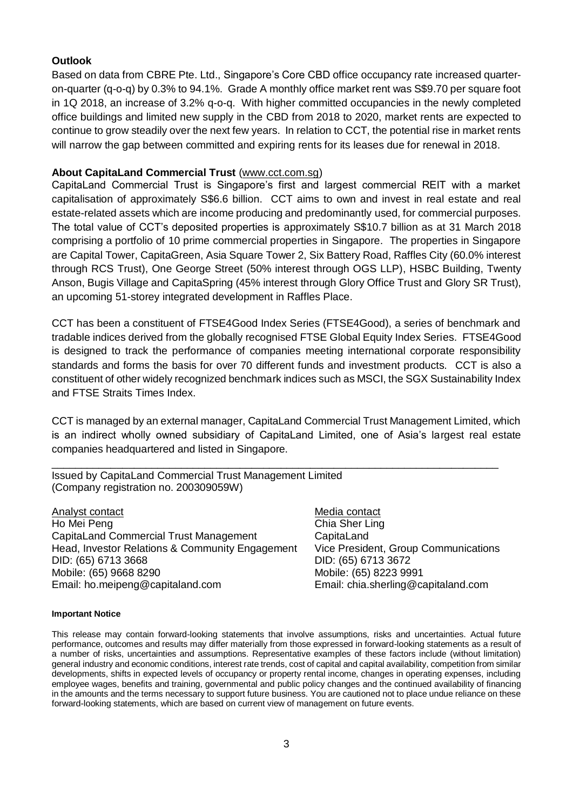### **Outlook**

Based on data from CBRE Pte. Ltd., Singapore's Core CBD office occupancy rate increased quarteron-quarter (q-o-q) by 0.3% to 94.1%. Grade A monthly office market rent was S\$9.70 per square foot in 1Q 2018, an increase of 3.2% q-o-q. With higher committed occupancies in the newly completed office buildings and limited new supply in the CBD from 2018 to 2020, market rents are expected to continue to grow steadily over the next few years. In relation to CCT, the potential rise in market rents will narrow the gap between committed and expiring rents for its leases due for renewal in 2018.

#### **About CapitaLand Commercial Trust** (www.cct.com.sg)

CapitaLand Commercial Trust is Singapore's first and largest commercial REIT with a market capitalisation of approximately S\$6.6 billion. CCT aims to own and invest in real estate and real estate-related assets which are income producing and predominantly used, for commercial purposes. The total value of CCT's deposited properties is approximately S\$10.7 billion as at 31 March 2018 comprising a portfolio of 10 prime commercial properties in Singapore. The properties in Singapore are Capital Tower, CapitaGreen, Asia Square Tower 2, Six Battery Road, Raffles City (60.0% interest through RCS Trust), One George Street (50% interest through OGS LLP), HSBC Building, Twenty Anson, Bugis Village and CapitaSpring (45% interest through Glory Office Trust and Glory SR Trust), an upcoming 51-storey integrated development in Raffles Place.

CCT has been a constituent of FTSE4Good Index Series (FTSE4Good), a series of benchmark and tradable indices derived from the globally recognised FTSE Global Equity Index Series. FTSE4Good is designed to track the performance of companies meeting international corporate responsibility standards and forms the basis for over 70 different funds and investment products. CCT is also a constituent of other widely recognized benchmark indices such as MSCI, the SGX Sustainability Index and FTSE Straits Times Index.

CCT is managed by an external manager, CapitaLand Commercial Trust Management Limited, which is an indirect wholly owned subsidiary of CapitaLand Limited, one of Asia's largest real estate companies headquartered and listed in Singapore.

\_\_\_\_\_\_\_\_\_\_\_\_\_\_\_\_\_\_\_\_\_\_\_\_\_\_\_\_\_\_\_\_\_\_\_\_\_\_\_\_\_\_\_\_\_\_\_\_\_\_\_\_\_\_\_\_\_\_\_\_\_\_\_\_\_\_\_\_\_\_\_\_\_\_\_\_

Issued by CapitaLand Commercial Trust Management Limited (Company registration no. 200309059W)

Analyst contact Ho Mei Peng CapitaLand Commercial Trust Management Head, Investor Relations & Community Engagement DID: (65) 6713 3668 Mobile: (65) 9668 8290 Email: ho.meipeng@capitaland.com

Media contact Chia Sher Ling **CapitaLand** Vice President, Group Communications DID: (65) 6713 3672 Mobile: (65) 8223 9991 Email: chia.sherling@capitaland.com

#### **Important Notice**

This release may contain forward-looking statements that involve assumptions, risks and uncertainties. Actual future performance, outcomes and results may differ materially from those expressed in forward-looking statements as a result of a number of risks, uncertainties and assumptions. Representative examples of these factors include (without limitation) general industry and economic conditions, interest rate trends, cost of capital and capital availability, competition from similar developments, shifts in expected levels of occupancy or property rental income, changes in operating expenses, including employee wages, benefits and training, governmental and public policy changes and the continued availability of financing in the amounts and the terms necessary to support future business. You are cautioned not to place undue reliance on these forward-looking statements, which are based on current view of management on future events.